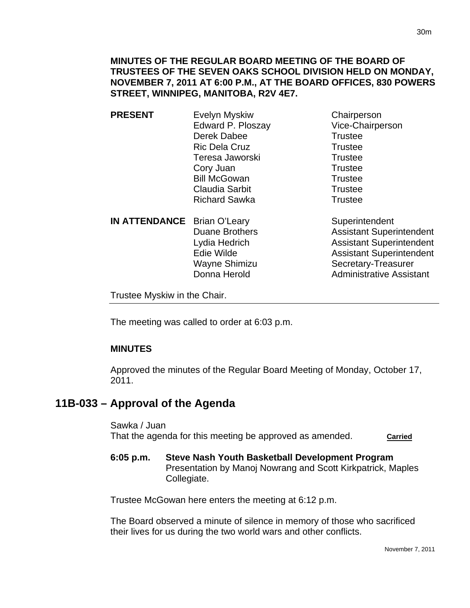- **PRESENT** Evelyn Myskiw Chairperson Edward P. Ploszay Vice-Chairperson Derek Dabee Trustee Ric Dela Cruz Trustee Teresa Jaworski **Trustee** Cory Juan Trustee Bill McGowan Trustee Claudia Sarbit **Trustee** Richard Sawka Trustee
	- **IN ATTENDANCE** Brian O'Leary Superintendent

Duane Brothers **Assistant Superintendent** 

Lydia Hedrich **Assistant Superintendent** Edie Wilde **Assistant Superintendent** Wayne Shimizu Secretary-Treasurer Donna Herold **Administrative Assistant** 

Trustee Myskiw in the Chair.

The meeting was called to order at 6:03 p.m.

## **MINUTES**

Approved the minutes of the Regular Board Meeting of Monday, October 17, 2011.

# **11B-033 – Approval of the Agenda**

Sawka / Juan That the agenda for this meeting be approved as amended. **Carried** 

**6:05 p.m. Steve Nash Youth Basketball Development Program**  Presentation by Manoj Nowrang and Scott Kirkpatrick, Maples Collegiate.

Trustee McGowan here enters the meeting at 6:12 p.m.

The Board observed a minute of silence in memory of those who sacrificed their lives for us during the two world wars and other conflicts.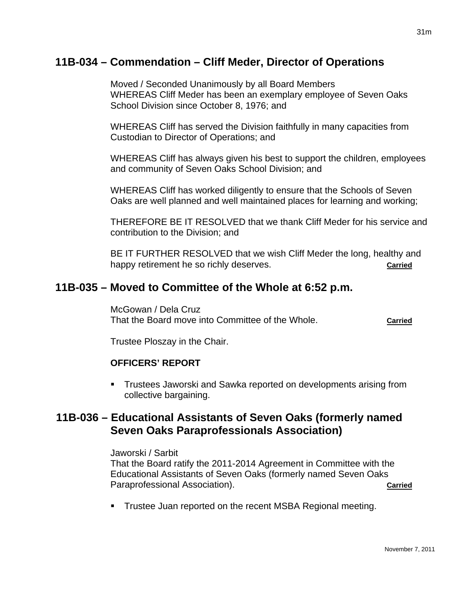# **11B-034 – Commendation – Cliff Meder, Director of Operations**

Moved / Seconded Unanimously by all Board Members WHEREAS Cliff Meder has been an exemplary employee of Seven Oaks School Division since October 8, 1976; and

WHEREAS Cliff has served the Division faithfully in many capacities from Custodian to Director of Operations; and

WHEREAS Cliff has always given his best to support the children, employees and community of Seven Oaks School Division; and

WHEREAS Cliff has worked diligently to ensure that the Schools of Seven Oaks are well planned and well maintained places for learning and working;

THEREFORE BE IT RESOLVED that we thank Cliff Meder for his service and contribution to the Division; and

BE IT FURTHER RESOLVED that we wish Cliff Meder the long, healthy and happy retirement he so richly deserves. **Carried**

# **11B-035 – Moved to Committee of the Whole at 6:52 p.m.**

McGowan / Dela Cruz That the Board move into Committee of the Whole. **Carried**

Trustee Ploszay in the Chair.

## **OFFICERS' REPORT**

**Trustees Jaworski and Sawka reported on developments arising from** collective bargaining.

# **11B-036 – Educational Assistants of Seven Oaks (formerly named Seven Oaks Paraprofessionals Association)**

#### Jaworski / Sarbit

That the Board ratify the 2011-2014 Agreement in Committee with the Educational Assistants of Seven Oaks (formerly named Seven Oaks Paraprofessional Association). **Carried Carried** 

**Trustee Juan reported on the recent MSBA Regional meeting.**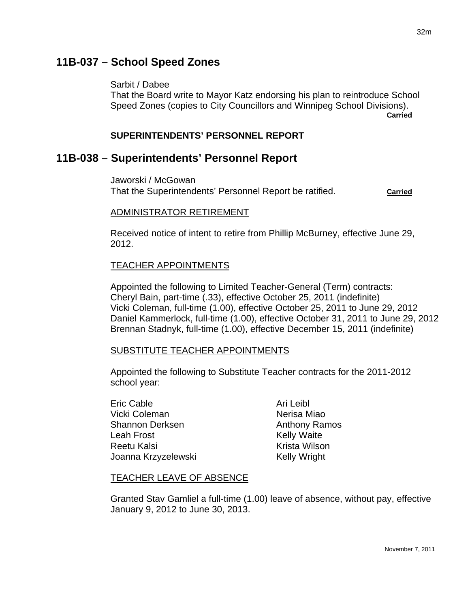# **11B-037 – School Speed Zones**

Sarbit / Dabee

That the Board write to Mayor Katz endorsing his plan to reintroduce School Speed Zones (copies to City Councillors and Winnipeg School Divisions). **Carried** 

### **SUPERINTENDENTS' PERSONNEL REPORT**

# **11B-038 – Superintendents' Personnel Report**

Jaworski / McGowan That the Superintendents' Personnel Report be ratified. **Carried**

### ADMINISTRATOR RETIREMENT

Received notice of intent to retire from Phillip McBurney, effective June 29, 2012.

## TEACHER APPOINTMENTS

Appointed the following to Limited Teacher-General (Term) contracts: Cheryl Bain, part-time (.33), effective October 25, 2011 (indefinite) Vicki Coleman, full-time (1.00), effective October 25, 2011 to June 29, 2012 Daniel Kammerlock, full-time (1.00), effective October 31, 2011 to June 29, 2012 Brennan Stadnyk, full-time (1.00), effective December 15, 2011 (indefinite)

#### SUBSTITUTE TEACHER APPOINTMENTS

Appointed the following to Substitute Teacher contracts for the 2011-2012 school year:

Eric Cable **Ari Leibl** Ari Leibl Vicki Coleman Nerisa Miao Shannon Derksen Anthony Ramos Leah Frost Nelly Waite Reetu Kalsi Krista Wilson Joanna Krzyzelewski Kelly Wright

## TEACHER LEAVE OF ABSENCE

Granted Stav Gamliel a full-time (1.00) leave of absence, without pay, effective January 9, 2012 to June 30, 2013.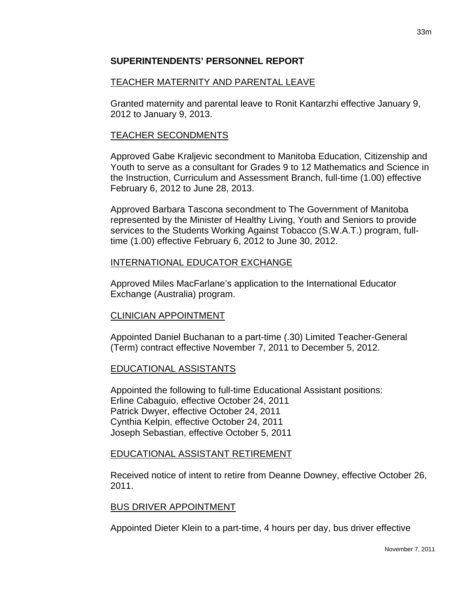## **SUPERINTENDENTS' PERSONNEL REPORT**

## TEACHER MATERNITY AND PARENTAL LEAVE

Granted maternity and parental leave to Ronit Kantarzhi effective January 9, 2012 to January 9, 2013.

## TEACHER SECONDMENTS

Approved Gabe Kraljevic secondment to Manitoba Education, Citizenship and Youth to serve as a consultant for Grades 9 to 12 Mathematics and Science in the Instruction, Curriculum and Assessment Branch, full-time (1.00) effective February 6, 2012 to June 28, 2013.

Approved Barbara Tascona secondment to The Government of Manitoba represented by the Minister of Healthy Living, Youth and Seniors to provide services to the Students Working Against Tobacco (S.W.A.T.) program, fulltime (1.00) effective February 6, 2012 to June 30, 2012.

## INTERNATIONAL EDUCATOR EXCHANGE

Approved Miles MacFarlane's application to the International Educator Exchange (Australia) program.

### CLINICIAN APPOINTMENT

Appointed Daniel Buchanan to a part-time (.30) Limited Teacher-General (Term) contract effective November 7, 2011 to December 5, 2012.

### EDUCATIONAL ASSISTANTS

Appointed the following to full-time Educational Assistant positions: Erline Cabaguio, effective October 24, 2011 Patrick Dwyer, effective October 24, 2011 Cynthia Kelpin, effective October 24, 2011 Joseph Sebastian, effective October 5, 2011

### EDUCATIONAL ASSISTANT RETIREMENT

Received notice of intent to retire from Deanne Downey, effective October 26, 2011.

### BUS DRIVER APPOINTMENT

Appointed Dieter Klein to a part-time, 4 hours per day, bus driver effective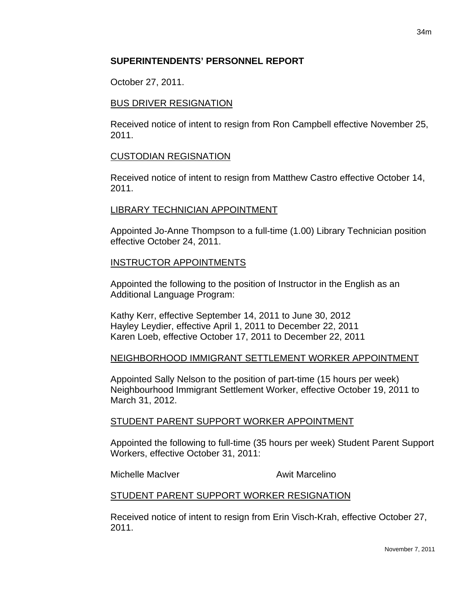### **SUPERINTENDENTS' PERSONNEL REPORT**

October 27, 2011.

### BUS DRIVER RESIGNATION

Received notice of intent to resign from Ron Campbell effective November 25, 2011.

## CUSTODIAN REGISNATION

Received notice of intent to resign from Matthew Castro effective October 14, 2011.

### LIBRARY TECHNICIAN APPOINTMENT

Appointed Jo-Anne Thompson to a full-time (1.00) Library Technician position effective October 24, 2011.

## INSTRUCTOR APPOINTMENTS

Appointed the following to the position of Instructor in the English as an Additional Language Program:

Kathy Kerr, effective September 14, 2011 to June 30, 2012 Hayley Leydier, effective April 1, 2011 to December 22, 2011 Karen Loeb, effective October 17, 2011 to December 22, 2011

## NEIGHBORHOOD IMMIGRANT SETTLEMENT WORKER APPOINTMENT

Appointed Sally Nelson to the position of part-time (15 hours per week) Neighbourhood Immigrant Settlement Worker, effective October 19, 2011 to March 31, 2012.

### STUDENT PARENT SUPPORT WORKER APPOINTMENT

Appointed the following to full-time (35 hours per week) Student Parent Support Workers, effective October 31, 2011:

Michelle MacIver **Awit Marcelino** 

## STUDENT PARENT SUPPORT WORKER RESIGNATION

Received notice of intent to resign from Erin Visch-Krah, effective October 27, 2011.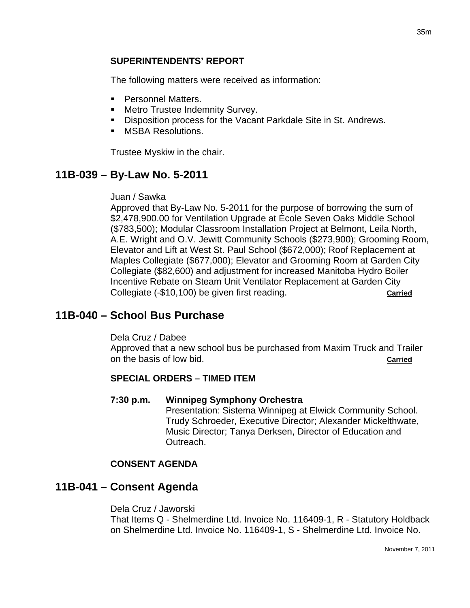### **SUPERINTENDENTS' REPORT**

The following matters were received as information:

- **Personnel Matters.**
- **EXECUTE:** Metro Trustee Indemnity Survey.
- **Disposition process for the Vacant Parkdale Site in St. Andrews.**
- **MSBA Resolutions.**

Trustee Myskiw in the chair.

# **11B-039 – By-Law No. 5-2011**

#### Juan / Sawka

Approved that By-Law No. 5-2011 for the purpose of borrowing the sum of \$2,478,900.00 for Ventilation Upgrade at École Seven Oaks Middle School (\$783,500); Modular Classroom Installation Project at Belmont, Leila North, A.E. Wright and O.V. Jewitt Community Schools (\$273,900); Grooming Room, Elevator and Lift at West St. Paul School (\$672,000); Roof Replacement at Maples Collegiate (\$677,000); Elevator and Grooming Room at Garden City Collegiate (\$82,600) and adjustment for increased Manitoba Hydro Boiler Incentive Rebate on Steam Unit Ventilator Replacement at Garden City Collegiate (-\$10,100) be given first reading. **Carried**

## **11B-040 – School Bus Purchase**

Dela Cruz / Dabee Approved that a new school bus be purchased from Maxim Truck and Trailer on the basis of low bid. **Carried**

### **SPECIAL ORDERS – TIMED ITEM**

#### **7:30 p.m. Winnipeg Symphony Orchestra**

Presentation: Sistema Winnipeg at Elwick Community School. Trudy Schroeder, Executive Director; Alexander Mickelthwate, Music Director; Tanya Derksen, Director of Education and Outreach.

### **CONSENT AGENDA**

## **11B-041 – Consent Agenda**

Dela Cruz / Jaworski That Items Q - Shelmerdine Ltd. Invoice No. 116409-1, R - Statutory Holdback on Shelmerdine Ltd. Invoice No. 116409-1, S - Shelmerdine Ltd. Invoice No.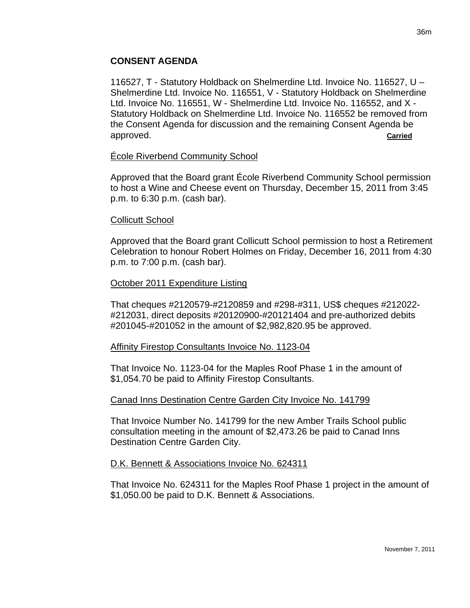### **CONSENT AGENDA**

116527, T - Statutory Holdback on Shelmerdine Ltd. Invoice No. 116527, U – Shelmerdine Ltd. Invoice No. 116551, V - Statutory Holdback on Shelmerdine Ltd. Invoice No. 116551, W - Shelmerdine Ltd. Invoice No. 116552, and X - Statutory Holdback on Shelmerdine Ltd. Invoice No. 116552 be removed from the Consent Agenda for discussion and the remaining Consent Agenda be approved. **Carried**

#### École Riverbend Community School

Approved that the Board grant École Riverbend Community School permission to host a Wine and Cheese event on Thursday, December 15, 2011 from 3:45 p.m. to 6:30 p.m. (cash bar).

#### Collicutt School

Approved that the Board grant Collicutt School permission to host a Retirement Celebration to honour Robert Holmes on Friday, December 16, 2011 from 4:30 p.m. to 7:00 p.m. (cash bar).

#### October 2011 Expenditure Listing

That cheques #2120579-#2120859 and #298-#311, US\$ cheques #212022- #212031, direct deposits #20120900-#20121404 and pre-authorized debits #201045-#201052 in the amount of \$2,982,820.95 be approved.

#### Affinity Firestop Consultants Invoice No. 1123-04

That Invoice No. 1123-04 for the Maples Roof Phase 1 in the amount of \$1,054.70 be paid to Affinity Firestop Consultants.

#### Canad Inns Destination Centre Garden City Invoice No. 141799

That Invoice Number No. 141799 for the new Amber Trails School public consultation meeting in the amount of \$2,473.26 be paid to Canad Inns Destination Centre Garden City.

#### D.K. Bennett & Associations Invoice No. 624311

That Invoice No. 624311 for the Maples Roof Phase 1 project in the amount of \$1,050.00 be paid to D.K. Bennett & Associations.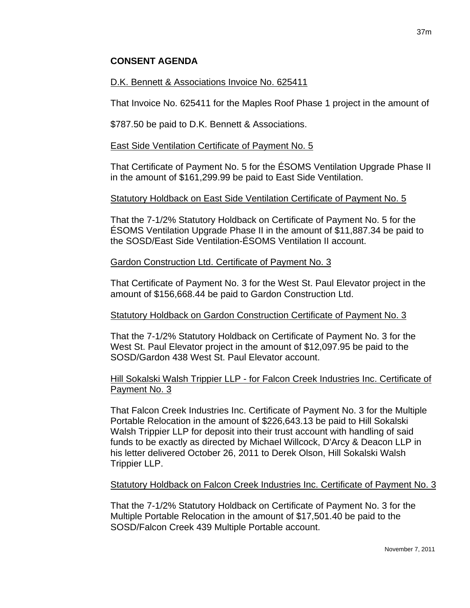## **CONSENT AGENDA**

### D.K. Bennett & Associations Invoice No. 625411

That Invoice No. 625411 for the Maples Roof Phase 1 project in the amount of

\$787.50 be paid to D.K. Bennett & Associations.

### East Side Ventilation Certificate of Payment No. 5

That Certificate of Payment No. 5 for the ÉSOMS Ventilation Upgrade Phase II in the amount of \$161,299.99 be paid to East Side Ventilation.

### Statutory Holdback on East Side Ventilation Certificate of Payment No. 5

That the 7-1/2% Statutory Holdback on Certificate of Payment No. 5 for the ÉSOMS Ventilation Upgrade Phase II in the amount of \$11,887.34 be paid to the SOSD/East Side Ventilation-ÉSOMS Ventilation II account.

## Gardon Construction Ltd. Certificate of Payment No. 3

That Certificate of Payment No. 3 for the West St. Paul Elevator project in the amount of \$156,668.44 be paid to Gardon Construction Ltd.

### Statutory Holdback on Gardon Construction Certificate of Payment No. 3

That the 7-1/2% Statutory Holdback on Certificate of Payment No. 3 for the West St. Paul Elevator project in the amount of \$12,097.95 be paid to the SOSD/Gardon 438 West St. Paul Elevator account.

## Hill Sokalski Walsh Trippier LLP - for Falcon Creek Industries Inc. Certificate of Payment No. 3

That Falcon Creek Industries Inc. Certificate of Payment No. 3 for the Multiple Portable Relocation in the amount of \$226,643.13 be paid to Hill Sokalski Walsh Trippier LLP for deposit into their trust account with handling of said funds to be exactly as directed by Michael Willcock, D'Arcy & Deacon LLP in his letter delivered October 26, 2011 to Derek Olson, Hill Sokalski Walsh Trippier LLP.

## Statutory Holdback on Falcon Creek Industries Inc. Certificate of Payment No. 3

That the 7-1/2% Statutory Holdback on Certificate of Payment No. 3 for the Multiple Portable Relocation in the amount of \$17,501.40 be paid to the SOSD/Falcon Creek 439 Multiple Portable account.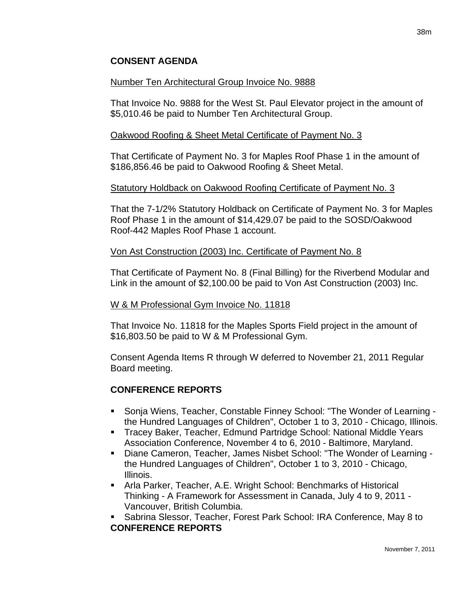## **CONSENT AGENDA**

#### Number Ten Architectural Group Invoice No. 9888

That Invoice No. 9888 for the West St. Paul Elevator project in the amount of \$5,010.46 be paid to Number Ten Architectural Group.

#### Oakwood Roofing & Sheet Metal Certificate of Payment No. 3

That Certificate of Payment No. 3 for Maples Roof Phase 1 in the amount of \$186,856.46 be paid to Oakwood Roofing & Sheet Metal.

#### Statutory Holdback on Oakwood Roofing Certificate of Payment No. 3

That the 7-1/2% Statutory Holdback on Certificate of Payment No. 3 for Maples Roof Phase 1 in the amount of \$14,429.07 be paid to the SOSD/Oakwood Roof-442 Maples Roof Phase 1 account.

#### Von Ast Construction (2003) Inc. Certificate of Payment No. 8

That Certificate of Payment No. 8 (Final Billing) for the Riverbend Modular and Link in the amount of \$2,100.00 be paid to Von Ast Construction (2003) Inc.

#### W & M Professional Gym Invoice No. 11818

That Invoice No. 11818 for the Maples Sports Field project in the amount of \$16,803.50 be paid to W & M Professional Gym.

Consent Agenda Items R through W deferred to November 21, 2011 Regular Board meeting.

### **CONFERENCE REPORTS**

- Sonja Wiens, Teacher, Constable Finney School: "The Wonder of Learning the Hundred Languages of Children", October 1 to 3, 2010 - Chicago, Illinois.
- **Tracey Baker, Teacher, Edmund Partridge School: National Middle Years** Association Conference, November 4 to 6, 2010 - Baltimore, Maryland.
- Diane Cameron, Teacher, James Nisbet School: "The Wonder of Learning the Hundred Languages of Children", October 1 to 3, 2010 - Chicago, Illinois.
- Arla Parker, Teacher, A.E. Wright School: Benchmarks of Historical Thinking - A Framework for Assessment in Canada, July 4 to 9, 2011 - Vancouver, British Columbia.
- Sabrina Slessor, Teacher, Forest Park School: IRA Conference, May 8 to **CONFERENCE REPORTS**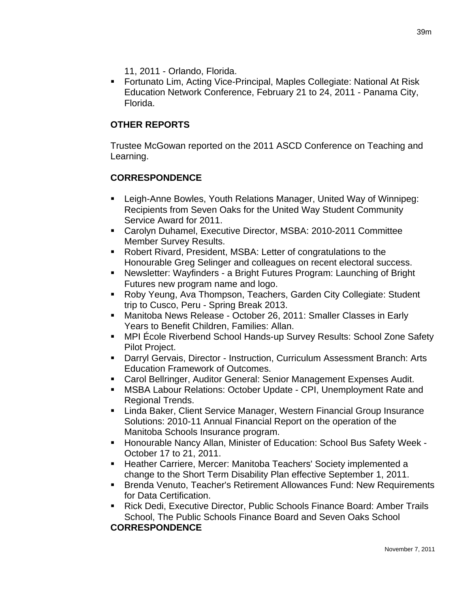- 11, 2011 Orlando, Florida.
- Fortunato Lim, Acting Vice-Principal, Maples Collegiate: National At Risk Education Network Conference, February 21 to 24, 2011 - Panama City, Florida.

# **OTHER REPORTS**

Trustee McGowan reported on the 2011 ASCD Conference on Teaching and Learning.

## **CORRESPONDENCE**

- Leigh-Anne Bowles, Youth Relations Manager, United Way of Winnipeg: Recipients from Seven Oaks for the United Way Student Community Service Award for 2011.
- Carolyn Duhamel, Executive Director, MSBA: 2010-2011 Committee Member Survey Results.
- Robert Rivard, President, MSBA: Letter of congratulations to the Honourable Greg Selinger and colleagues on recent electoral success.
- Newsletter: Wayfinders a Bright Futures Program: Launching of Bright Futures new program name and logo.
- Roby Yeung, Ava Thompson, Teachers, Garden City Collegiate: Student trip to Cusco, Peru - Spring Break 2013.
- Manitoba News Release October 26, 2011: Smaller Classes in Early Years to Benefit Children, Families: Allan.
- MPI École Riverbend School Hands-up Survey Results: School Zone Safety Pilot Project.
- Darryl Gervais, Director Instruction, Curriculum Assessment Branch: Arts Education Framework of Outcomes.
- Carol Bellringer, Auditor General: Senior Management Expenses Audit.
- MSBA Labour Relations: October Update CPI, Unemployment Rate and Regional Trends.
- Linda Baker, Client Service Manager, Western Financial Group Insurance Solutions: 2010-11 Annual Financial Report on the operation of the Manitoba Schools Insurance program.
- Honourable Nancy Allan, Minister of Education: School Bus Safety Week October 17 to 21, 2011.
- **EXECT** Heather Carriere, Mercer: Manitoba Teachers' Society implemented a change to the Short Term Disability Plan effective September 1, 2011.
- **Brenda Venuto, Teacher's Retirement Allowances Fund: New Requirements** for Data Certification.
- Rick Dedi, Executive Director, Public Schools Finance Board: Amber Trails School, The Public Schools Finance Board and Seven Oaks School **CORRESPONDENCE**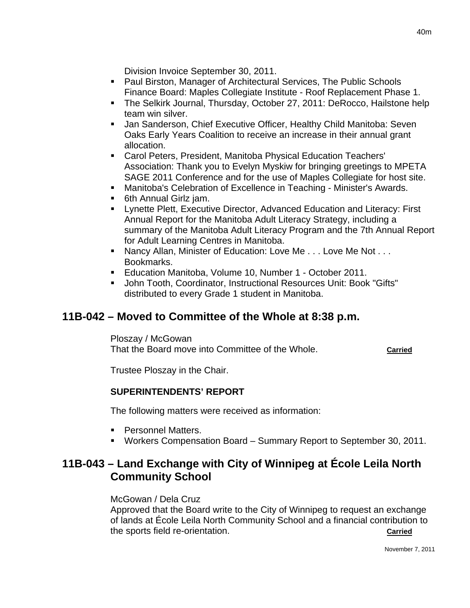Division Invoice September 30, 2011.

- **Paul Birston, Manager of Architectural Services, The Public Schools** Finance Board: Maples Collegiate Institute - Roof Replacement Phase 1.
- The Selkirk Journal, Thursday, October 27, 2011: DeRocco, Hailstone help team win silver.
- **Jan Sanderson, Chief Executive Officer, Healthy Child Manitoba: Seven** Oaks Early Years Coalition to receive an increase in their annual grant allocation.
- Carol Peters, President, Manitoba Physical Education Teachers' Association: Thank you to Evelyn Myskiw for bringing greetings to MPETA SAGE 2011 Conference and for the use of Maples Collegiate for host site.
- **Manitoba's Celebration of Excellence in Teaching Minister's Awards.**
- **6th Annual Girlz jam.**
- Lynette Plett, Executive Director, Advanced Education and Literacy: First Annual Report for the Manitoba Adult Literacy Strategy, including a summary of the Manitoba Adult Literacy Program and the 7th Annual Report for Adult Learning Centres in Manitoba.
- Nancy Allan, Minister of Education: Love Me . . . Love Me Not . . . Bookmarks.
- **Education Manitoba, Volume 10, Number 1 October 2011.**
- John Tooth, Coordinator, Instructional Resources Unit: Book "Gifts" distributed to every Grade 1 student in Manitoba.

# **11B-042 – Moved to Committee of the Whole at 8:38 p.m.**

Ploszay / McGowan That the Board move into Committee of the Whole. **Carried**

Trustee Ploszay in the Chair.

## **SUPERINTENDENTS' REPORT**

The following matters were received as information:

- **Personnel Matters.**
- Workers Compensation Board Summary Report to September 30, 2011.

# **11B-043 – Land Exchange with City of Winnipeg at École Leila North Community School**

### McGowan / Dela Cruz

Approved that the Board write to the City of Winnipeg to request an exchange of lands at École Leila North Community School and a financial contribution to the sports field re-orientation. **Carried**